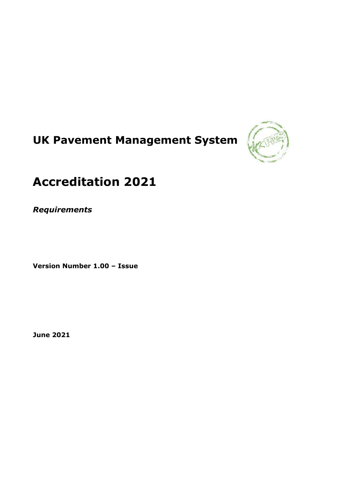# **UK Pavement Management System**



## **Accreditation 2021**

*Requirements*

**Version Number 1.00 – Issue**

**June 2021**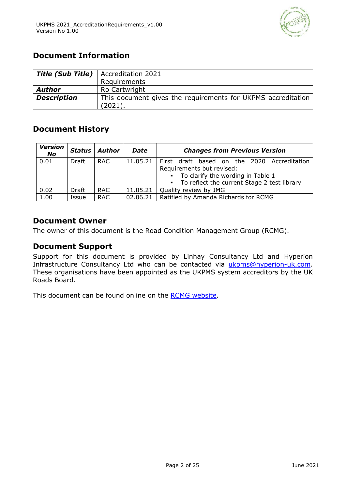

## **Document Information**

| <b>Title (Sub Title)</b>   Accreditation 2021 |                                                              |  |  |
|-----------------------------------------------|--------------------------------------------------------------|--|--|
|                                               | Requirements                                                 |  |  |
| Author                                        | Ro Cartwright                                                |  |  |
| <b>Description</b>                            | This document gives the requirements for UKPMS accreditation |  |  |
|                                               | (2021).                                                      |  |  |

## **Document History**

| <b>Version</b><br>No | <b>Status</b> | Author     | <b>Date</b> | <b>Changes from Previous Version</b>                                                 |
|----------------------|---------------|------------|-------------|--------------------------------------------------------------------------------------|
| 0.01                 | Draft         | RAC.       | 11.05.21    | First draft based on the 2020 Accreditation<br>Requirements but revised:             |
|                      |               |            |             | • To clarify the wording in Table 1<br>• To reflect the current Stage 2 test library |
| 0.02                 | Draft         | <b>RAC</b> | 11.05.21    | Quality review by JMG                                                                |
| 1.00                 | Issue         | <b>RAC</b> | 02.06.21    | Ratified by Amanda Richards for RCMG                                                 |

## **Document Owner**

The owner of this document is the Road Condition Management Group (RCMG).

#### **Document Support**

Support for this document is provided by Linhay Consultancy Ltd and Hyperion Infrastructure Consultancy Ltd who can be contacted via [ukpms@hyperion-uk.com.](about:blank) These organisations have been appointed as the UKPMS system accreditors by the UK Roads Board.

This document can be found online on the [RCMG website.](https://ukrlg.ciht.org.uk/ukrlg-home/guidance/road-condition-information/data-management/uk-pavement-management-system-ukpms/)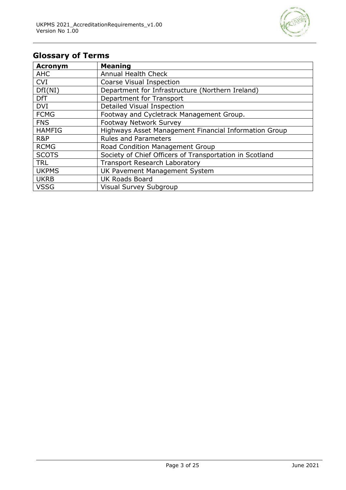

## **Glossary of Terms**

| <b>Acronym</b> | <b>Meaning</b>                                          |
|----------------|---------------------------------------------------------|
| <b>AHC</b>     | <b>Annual Health Check</b>                              |
| <b>CVI</b>     | Coarse Visual Inspection                                |
| DfI(NI)        | Department for Infrastructure (Northern Ireland)        |
| <b>DfT</b>     | Department for Transport                                |
| <b>DVI</b>     | Detailed Visual Inspection                              |
| <b>FCMG</b>    | Footway and Cycletrack Management Group.                |
| <b>FNS</b>     | <b>Footway Network Survey</b>                           |
| <b>HAMFIG</b>  | Highways Asset Management Financial Information Group   |
| R&P            | <b>Rules and Parameters</b>                             |
| <b>RCMG</b>    | Road Condition Management Group                         |
| <b>SCOTS</b>   | Society of Chief Officers of Transportation in Scotland |
| <b>TRL</b>     | <b>Transport Research Laboratory</b>                    |
| <b>UKPMS</b>   | UK Pavement Management System                           |
| <b>UKRB</b>    | <b>UK Roads Board</b>                                   |
| <b>VSSG</b>    | Visual Survey Subgroup                                  |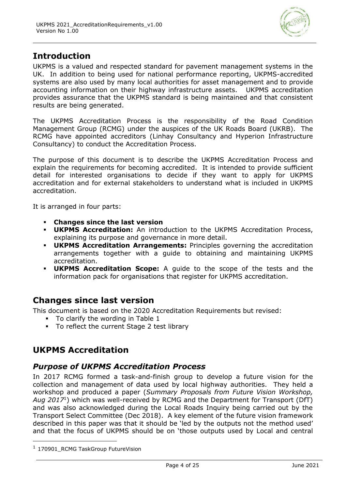

## **Introduction**

UKPMS is a valued and respected standard for pavement management systems in the UK. In addition to being used for national performance reporting, UKPMS-accredited systems are also used by many local authorities for asset management and to provide accounting information on their highway infrastructure assets. UKPMS accreditation provides assurance that the UKPMS standard is being maintained and that consistent results are being generated.

The UKPMS Accreditation Process is the responsibility of the Road Condition Management Group (RCMG) under the auspices of the UK Roads Board (UKRB). The RCMG have appointed accreditors (Linhay Consultancy and Hyperion Infrastructure Consultancy) to conduct the Accreditation Process.

The purpose of this document is to describe the UKPMS Accreditation Process and explain the requirements for becoming accredited. It is intended to provide sufficient detail for interested organisations to decide if they want to apply for UKPMS accreditation and for external stakeholders to understand what is included in UKPMS accreditation.

It is arranged in four parts:

- **Changes since the last version**
- **UKPMS Accreditation:** An introduction to the UKPMS Accreditation Process, explaining its purpose and governance in more detail.
- **UKPMS Accreditation Arrangements:** Principles governing the accreditation arrangements together with a guide to obtaining and maintaining UKPMS accreditation.
- **UKPMS Accreditation Scope:** A guide to the scope of the tests and the information pack for organisations that register for UKPMS accreditation.

## **Changes since last version**

This document is based on the 2020 Accreditation Requirements but revised:

- To clarify the wording in Table 1
- To reflect the current Stage 2 test library

## **UKPMS Accreditation**

## *Purpose of UKPMS Accreditation Process*

In 2017 RCMG formed a task-and-finish group to develop a future vision for the collection and management of data used by local highway authorities. They held a workshop and produced a paper (*Summary Proposals from Future Vision Workshop, Aug 2017*<sup>1</sup> ) which was well-received by RCMG and the Department for Transport (DfT) and was also acknowledged during the Local Roads Inquiry being carried out by the Transport Select Committee (Dec 2018). A key element of the future vision framework described in this paper was that it should be 'led by the outputs not the method used' and that the focus of UKPMS should be on 'those outputs used by Local and central

<sup>&</sup>lt;sup>1</sup> 170901\_RCMG TaskGroup FutureVision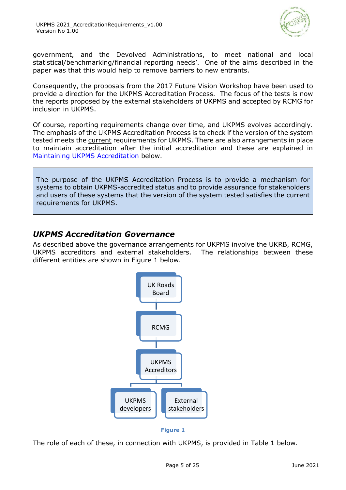

government, and the Devolved Administrations, to meet national and local statistical/benchmarking/financial reporting needs'. One of the aims described in the paper was that this would help to remove barriers to new entrants.

Consequently, the proposals from the 2017 Future Vision Workshop have been used to provide a direction for the UKPMS Accreditation Process. The focus of the tests is now the reports proposed by the external stakeholders of UKPMS and accepted by RCMG for inclusion in UKPMS.

Of course, reporting requirements change over time, and UKPMS evolves accordingly. The emphasis of the UKPMS Accreditation Process is to check if the version of the system tested meets the current requirements for UKPMS. There are also arrangements in place to maintain accreditation after the initial accreditation and these are explained in [Maintaining UKPMS Accreditation](#page-10-0) below.

The purpose of the UKPMS Accreditation Process is to provide a mechanism for systems to obtain UKPMS-accredited status and to provide assurance for stakeholders and users of these systems that the version of the system tested satisfies the current requirements for UKPMS.

## *UKPMS Accreditation Governance*

As described above the governance arrangements for UKPMS involve the UKRB, RCMG, UKPMS accreditors and external stakeholders. The relationships between these different entities are shown in Figure 1 below.



The role of each of these, in connection with UKPMS, is provided in Table 1 below.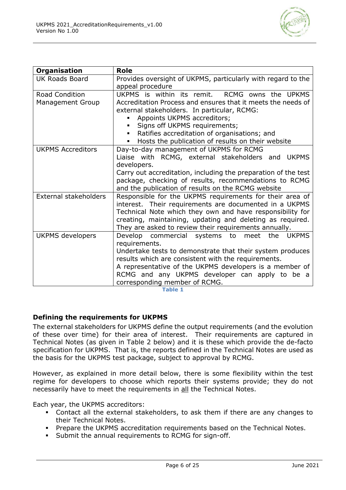

| <b>Organisation</b>          | Role                                                            |  |
|------------------------------|-----------------------------------------------------------------|--|
| <b>UK Roads Board</b>        | Provides oversight of UKPMS, particularly with regard to the    |  |
|                              | appeal procedure                                                |  |
| <b>Road Condition</b>        | UKPMS is within its remit. RCMG owns the UPKMS                  |  |
| <b>Management Group</b>      | Accreditation Process and ensures that it meets the needs of    |  |
|                              | external stakeholders. In particular, RCMG:                     |  |
|                              | Appoints UKPMS accreditors;                                     |  |
|                              | Signs off UKPMS requirements;                                   |  |
|                              | Ratifies accreditation of organisations; and<br>٠               |  |
|                              | Hosts the publication of results on their website               |  |
| <b>UKPMS Accreditors</b>     | Day-to-day management of UKPMS for RCMG                         |  |
|                              | Liaise with RCMG, external stakeholders and<br><b>UKPMS</b>     |  |
|                              | developers.                                                     |  |
|                              | Carry out accreditation, including the preparation of the test  |  |
|                              | package, checking of results, recommendations to RCMG           |  |
|                              | and the publication of results on the RCMG website              |  |
| <b>External stakeholders</b> | Responsible for the UKPMS requirements for their area of        |  |
|                              | interest. Their requirements are documented in a UKPMS          |  |
|                              | Technical Note which they own and have responsibility for       |  |
|                              | creating, maintaining, updating and deleting as required.       |  |
|                              | They are asked to review their requirements annually.           |  |
| <b>UKPMS</b> developers      | Develop commercial systems<br>the<br><b>UKPMS</b><br>to<br>meet |  |
|                              | requirements.                                                   |  |
|                              | Undertake tests to demonstrate that their system produces       |  |
|                              | results which are consistent with the requirements.             |  |
|                              | A representative of the UKPMS developers is a member of         |  |
|                              | RCMG and any UKPMS developer can apply to be a                  |  |
|                              | corresponding member of RCMG.                                   |  |

**Table 1**

#### **Defining the requirements for UKPMS**

The external stakeholders for UKPMS define the output requirements (and the evolution of these over time) for their area of interest. Their requirements are captured in Technical Notes (as given in Table 2 below) and it is these which provide the de-facto specification for UKPMS. That is, the reports defined in the Technical Notes are used as the basis for the UKPMS test package, subject to approval by RCMG.

However, as explained in more detail below, there is some flexibility within the test regime for developers to choose which reports their systems provide; they do not necessarily have to meet the requirements in all the Technical Notes.

Each year, the UKPMS accreditors:

- Contact all the external stakeholders, to ask them if there are any changes to their Technical Notes.
- **Prepare the UKPMS accreditation requirements based on the Technical Notes.**
- Submit the annual requirements to RCMG for sign-off.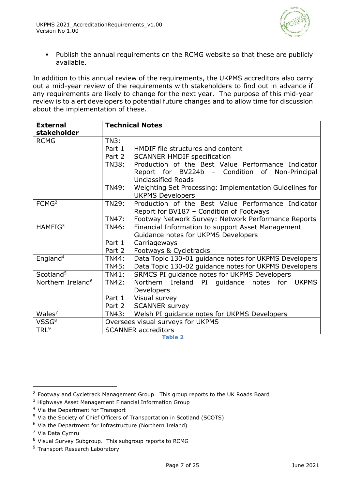

▪ Publish the annual requirements on the RCMG website so that these are publicly available.

In addition to this annual review of the requirements, the UKPMS accreditors also carry out a mid-year review of the requirements with stakeholders to find out in advance if any requirements are likely to change for the next year. The purpose of this mid-year review is to alert developers to potential future changes and to allow time for discussion about the implementation of these.

| <b>External</b><br>stakeholder | <b>Technical Notes</b>            |                                                                           |  |
|--------------------------------|-----------------------------------|---------------------------------------------------------------------------|--|
| <b>RCMG</b>                    | TN3:                              |                                                                           |  |
|                                | Part 1                            | HMDIF file structures and content                                         |  |
|                                | Part 2                            | <b>SCANNER HMDIF specification</b>                                        |  |
|                                | TN38:                             | Production of the Best Value Performance Indicator                        |  |
|                                |                                   | Report for BV224b -<br>Condition of<br>Non-Principal                      |  |
|                                |                                   | <b>Unclassified Roads</b>                                                 |  |
|                                | <b>TN49:</b>                      | Weighting Set Processing: Implementation Guidelines for                   |  |
|                                |                                   | <b>UKPMS Developers</b>                                                   |  |
| FCMG <sup>2</sup>              | TN29:                             | Production of the Best Value Performance Indicator                        |  |
|                                |                                   | Report for BV187 - Condition of Footways                                  |  |
|                                | TN47:                             | Footway Network Survey: Network Performance Reports                       |  |
| HAMFIG <sup>3</sup>            | TN46:                             | Financial Information to support Asset Management                         |  |
|                                |                                   | Guidance notes for UKPMS Developers                                       |  |
|                                | Part 1                            | Carriageways                                                              |  |
|                                | Part 2                            | Footways & Cycletracks                                                    |  |
| England <sup>4</sup>           | <b>TN44:</b>                      | Data Topic 130-01 guidance notes for UKPMS Developers                     |  |
|                                | <b>TN45:</b>                      | Data Topic 130-02 guidance notes for UKPMS Developers                     |  |
| Scotland <sup>5</sup>          | TN41:                             | SRMCS PI guidance notes for UKPMS Developers                              |  |
| Northern Ireland <sup>6</sup>  | <b>TN42:</b>                      | <b>Northern</b><br>Ireland<br>for<br>PI<br>quidance notes<br><b>UKPMS</b> |  |
|                                |                                   | Developers                                                                |  |
|                                | Part 1                            | Visual survey                                                             |  |
|                                | Part 2                            | <b>SCANNER survey</b>                                                     |  |
| Wales <sup>7</sup>             | TN43:                             | Welsh PI guidance notes for UKPMS Developers                              |  |
| VSSG <sup>8</sup>              | Oversees visual surveys for UKPMS |                                                                           |  |
| TRL <sup>9</sup>               | <b>SCANNER</b> accreditors        |                                                                           |  |

**Table 2**

<sup>4</sup> Via the Department for Transport

<sup>9</sup> Transport Research Laboratory

<sup>&</sup>lt;sup>2</sup> Footway and Cycletrack Management Group. This group reports to the UK Roads Board

<sup>3</sup> Highways Asset Management Financial Information Group

<sup>5</sup> Via the Society of Chief Officers of Transportation in Scotland (SCOTS)

 $6$  Via the Department for Infrastructure (Northern Ireland)

<sup>7</sup> Via Data Cymru

<sup>8</sup> Visual Survey Subgroup. This subgroup reports to RCMG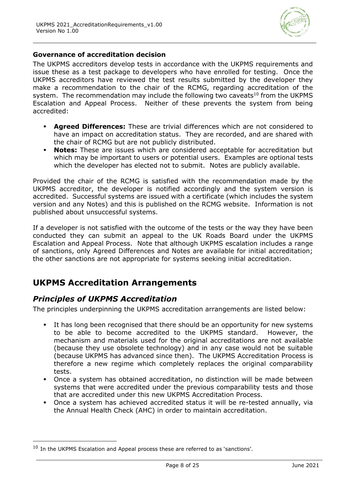

#### **Governance of accreditation decision**

The UKPMS accreditors develop tests in accordance with the UKPMS requirements and issue these as a test package to developers who have enrolled for testing. Once the UKPMS accreditors have reviewed the test results submitted by the developer they make a recommendation to the chair of the RCMG, regarding accreditation of the system. The recommendation may include the following two caveats<sup>10</sup> from the UKPMS Escalation and Appeal Process. Neither of these prevents the system from being accredited:

- **Agreed Differences:** These are trivial differences which are not considered to have an impact on accreditation status. They are recorded, and are shared with the chair of RCMG but are not publicly distributed.
- **Notes:** These are issues which are considered acceptable for accreditation but which may be important to users or potential users. Examples are optional tests which the developer has elected not to submit. Notes are publicly available.

Provided the chair of the RCMG is satisfied with the recommendation made by the UKPMS accreditor, the developer is notified accordingly and the system version is accredited. Successful systems are issued with a certificate (which includes the system version and any Notes) and this is published on the RCMG website. Information is not published about unsuccessful systems.

If a developer is not satisfied with the outcome of the tests or the way they have been conducted they can submit an appeal to the UK Roads Board under the UKPMS Escalation and Appeal Process. Note that although UKPMS escalation includes a range of sanctions, only Agreed Differences and Notes are available for initial accreditation; the other sanctions are not appropriate for systems seeking initial accreditation.

## **UKPMS Accreditation Arrangements**

## *Principles of UKPMS Accreditation*

The principles underpinning the UKPMS accreditation arrangements are listed below:

- **EXECT** It has long been recognised that there should be an opportunity for new systems to be able to become accredited to the UKPMS standard. However, the mechanism and materials used for the original accreditations are not available (because they use obsolete technology) and in any case would not be suitable (because UKPMS has advanced since then). The UKPMS Accreditation Process is therefore a new regime which completely replaces the original comparability tests.
- Once a system has obtained accreditation, no distinction will be made between systems that were accredited under the previous comparability tests and those that are accredited under this new UKPMS Accreditation Process.
- Once a system has achieved accredited status it will be re-tested annually, via the Annual Health Check (AHC) in order to maintain accreditation.

 $10$  In the UKPMS Escalation and Appeal process these are referred to as 'sanctions'.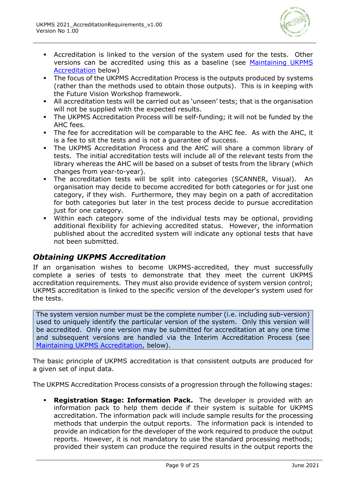

- Accreditation is linked to the version of the system used for the tests. Other versions can be accredited using this as a baseline (see [Maintaining UKPMS](#page-10-0)  [Accreditation](#page-10-0) below)
- **The focus of the UKPMS Accreditation Process is the outputs produced by systems** (rather than the methods used to obtain those outputs). This is in keeping with the Future Vision Workshop framework.
- All accreditation tests will be carried out as 'unseen' tests; that is the organisation will not be supplied with the expected results.
- The UKPMS Accreditation Process will be self-funding; it will not be funded by the AHC fees.
- The fee for accreditation will be comparable to the AHC fee. As with the AHC, it is a fee to sit the tests and is not a guarantee of success.
- The UKPMS Accreditation Process and the AHC will share a common library of tests. The initial accreditation tests will include all of the relevant tests from the library whereas the AHC will be based on a subset of tests from the library (which changes from year-to-year).
- The accreditation tests will be split into categories (SCANNER, Visual). An organisation may decide to become accredited for both categories or for just one category, if they wish. Furthermore, they may begin on a path of accreditation for both categories but later in the test process decide to pursue accreditation just for one category.
- Within each category some of the individual tests may be optional, providing additional flexibility for achieving accredited status. However, the information published about the accredited system will indicate any optional tests that have not been submitted.

## *Obtaining UKPMS Accreditation*

If an organisation wishes to become UKPMS-accredited, they must successfully complete a series of tests to demonstrate that they meet the current UKPMS accreditation requirements. They must also provide evidence of system version control; UKPMS accreditation is linked to the specific version of the developer's system used for the tests.

The system version number must be the complete number (i.e. including sub-version) used to uniquely identify the particular version of the system. Only this version will be accredited. Only one version may be submitted for accreditation at any one time and subsequent versions are handled via the Interim Accreditation Process (see [Maintaining UKPMS Accreditation,](#page-10-0) below).

The basic principle of UKPMS accreditation is that consistent outputs are produced for a given set of input data.

The UKPMS Accreditation Process consists of a progression through the following stages:

▪ **Registration Stage: Information Pack.** The developer is provided with an information pack to help them decide if their system is suitable for UKPMS accreditation. The information pack will include sample results for the processing methods that underpin the output reports. The information pack is intended to provide an indication for the developer of the work required to produce the output reports. However, it is not mandatory to use the standard processing methods; provided their system can produce the required results in the output reports the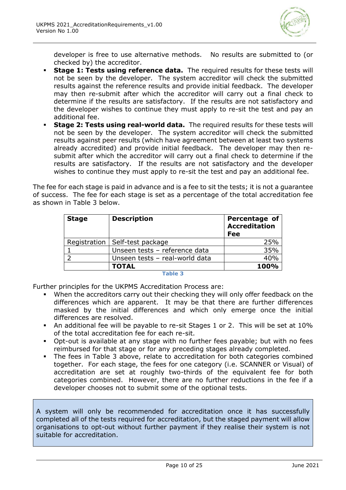

developer is free to use alternative methods. No results are submitted to (or checked by) the accreditor.

- **Stage 1: Tests using reference data.** The required results for these tests will not be seen by the developer. The system accreditor will check the submitted results against the reference results and provide initial feedback. The developer may then re-submit after which the accreditor will carry out a final check to determine if the results are satisfactory. If the results are not satisfactory and the developer wishes to continue they must apply to re-sit the test and pay an additional fee.
- **Stage 2: Tests using real-world data.** The required results for these tests will not be seen by the developer. The system accreditor will check the submitted results against peer results (which have agreement between at least two systems already accredited) and provide initial feedback. The developer may then resubmit after which the accreditor will carry out a final check to determine if the results are satisfactory. If the results are not satisfactory and the developer wishes to continue they must apply to re-sit the test and pay an additional fee.

The fee for each stage is paid in advance and is a fee to sit the tests; it is not a guarantee of success. The fee for each stage is set as a percentage of the total accreditation fee as shown in Table 3 below.

| <b>Stage</b> | <b>Description</b>               | <b>Percentage of</b><br><b>Accreditation</b><br>Fee |
|--------------|----------------------------------|-----------------------------------------------------|
|              | Registration   Self-test package | 25%                                                 |
|              | Unseen tests - reference data    | 35%                                                 |
|              | Unseen tests - real-world data   | 40%                                                 |
|              | <b>TOTAL</b>                     | 100%                                                |

**Table 3**

Further principles for the UKPMS Accreditation Process are:

- When the accreditors carry out their checking they will only offer feedback on the differences which are apparent. It may be that there are further differences masked by the initial differences and which only emerge once the initial differences are resolved.
- An additional fee will be payable to re-sit Stages 1 or 2. This will be set at 10% of the total accreditation fee for each re-sit.
- Opt-out is available at any stage with no further fees payable; but with no fees reimbursed for that stage or for any preceding stages already completed.
- The fees in Table 3 above, relate to accreditation for both categories combined together. For each stage, the fees for one category (i.e. SCANNER or Visual) of accreditation are set at roughly two-thirds of the equivalent fee for both categories combined. However, there are no further reductions in the fee if a developer chooses not to submit some of the optional tests.

A system will only be recommended for accreditation once it has successfully completed all of the tests required for accreditation, but the staged payment will allow organisations to opt-out without further payment if they realise their system is not suitable for accreditation.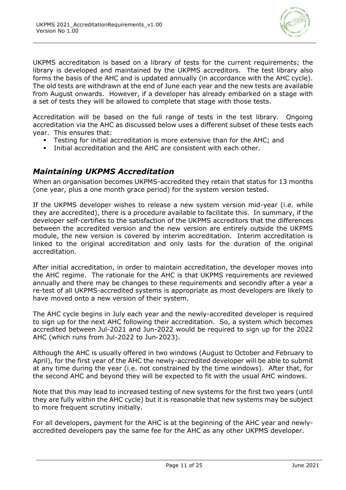

UKPMS accreditation is based on a library of tests for the current requirements; the library is developed and maintained by the UKPMS accreditors. The test library also forms the basis of the AHC and is updated annually (in accordance with the AHC cycle). The old tests are withdrawn at the end of June each year and the new tests are available from August onwards. However, if a developer has already embarked on a stage with a set of tests they will be allowed to complete that stage with those tests.

Accreditation will be based on the full range of tests in the test library. Ongoing accreditation via the AHC as discussed below uses a different subset of these tests each year. This ensures that:

- Testing for initial accreditation is more extensive than for the AHC; and
- Initial accreditation and the AHC are consistent with each other.

## <span id="page-10-0"></span>*Maintaining UKPMS Accreditation*

When an organisation becomes UKPMS-accredited they retain that status for 13 months (one year, plus a one month grace period) for the system version tested.

If the UKPMS developer wishes to release a new system version mid-year (i.e. while they are accredited), there is a procedure available to facilitate this. In summary, if the developer self-certifies to the satisfaction of the UKPMS accreditors that the differences between the accredited version and the new version are entirely outside the UKPMS module, the new version is covered by interim accreditation. Interim accreditation is linked to the original accreditation and only lasts for the duration of the original accreditation.

After initial accreditation, in order to maintain accreditation, the developer moves into the AHC regime. The rationale for the AHC is that UKPMS requirements are reviewed annually and there may be changes to these requirements and secondly after a year a re-test of all UKPMS-accredited systems is appropriate as most developers are likely to have moved onto a new version of their system.

The AHC cycle begins in July each year and the newly-accredited developer is required to sign up for the next AHC following their accreditation. So, a system which becomes accredited between Jul-2021 and Jun-2022 would be required to sign up for the 2022 AHC (which runs from Jul-2022 to Jun-2023).

Although the AHC is usually offered in two windows (August to October and February to April), for the first year of the AHC the newly-accredited developer will be able to submit at any time during the year (i.e. not constrained by the time windows). After that, for the second AHC and beyond they will be expected to fit with the usual AHC windows.

Note that this may lead to increased testing of new systems for the first two years (until they are fully within the AHC cycle) but it is reasonable that new systems may be subject to more frequent scrutiny initially.

For all developers, payment for the AHC is at the beginning of the AHC year and newlyaccredited developers pay the same fee for the AHC as any other UKPMS developer.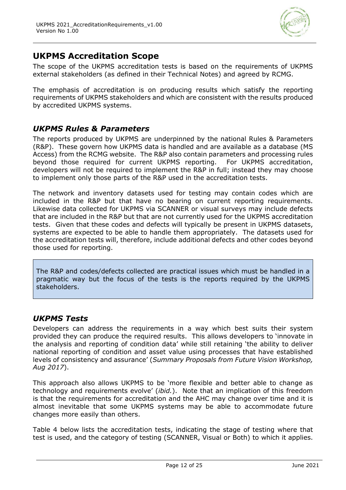

## **UKPMS Accreditation Scope**

The scope of the UKPMS accreditation tests is based on the requirements of UKPMS external stakeholders (as defined in their Technical Notes) and agreed by RCMG.

The emphasis of accreditation is on producing results which satisfy the reporting requirements of UKPMS stakeholders and which are consistent with the results produced by accredited UKPMS systems.

## *UKPMS Rules & Parameters*

The reports produced by UKPMS are underpinned by the national Rules & Parameters (R&P). These govern how UKPMS data is handled and are available as a database (MS Access) from the RCMG website. The R&P also contain parameters and processing rules beyond those required for current UKPMS reporting. For UKPMS accreditation, developers will not be required to implement the R&P in full; instead they may choose to implement only those parts of the R&P used in the accreditation tests.

The network and inventory datasets used for testing may contain codes which are included in the R&P but that have no bearing on current reporting requirements. Likewise data collected for UKPMS via SCANNER or visual surveys may include defects that are included in the R&P but that are not currently used for the UKPMS accreditation tests. Given that these codes and defects will typically be present in UKPMS datasets, systems are expected to be able to handle them appropriately. The datasets used for the accreditation tests will, therefore, include additional defects and other codes beyond those used for reporting.

The R&P and codes/defects collected are practical issues which must be handled in a pragmatic way but the focus of the tests is the reports required by the UKPMS stakeholders.

## *UKPMS Tests*

Developers can address the requirements in a way which best suits their system provided they can produce the required results. This allows developers to 'innovate in the analysis and reporting of condition data' while still retaining 'the ability to deliver national reporting of condition and asset value using processes that have established levels of consistency and assurance' (*Summary Proposals from Future Vision Workshop, Aug 2017*).

This approach also allows UKPMS to be 'more flexible and better able to change as technology and requirements evolve' (*ibid.*). Note that an implication of this freedom is that the requirements for accreditation and the AHC may change over time and it is almost inevitable that some UKPMS systems may be able to accommodate future changes more easily than others.

Table 4 below lists the accreditation tests, indicating the stage of testing where that test is used, and the category of testing (SCANNER, Visual or Both) to which it applies.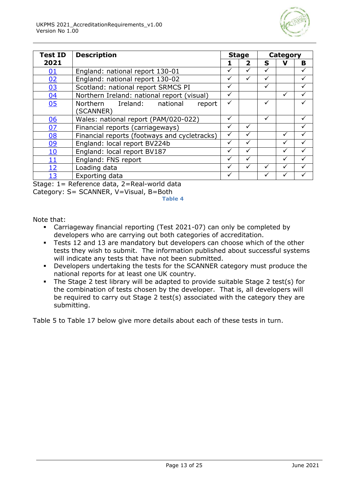

| <b>Test ID</b> | <b>Description</b>                           |   | <b>Stage</b> |   | Category |              |  |
|----------------|----------------------------------------------|---|--------------|---|----------|--------------|--|
| 2021           |                                              |   | 2            | S |          | в            |  |
| 01             | England: national report 130-01              | ✓ |              | ✓ |          |              |  |
| 02             | England: national report 130-02              | ✓ |              | ✓ |          |              |  |
| 03             | Scotland: national report SRMCS PI           |   |              |   |          |              |  |
| 04             | Northern Ireland: national report (visual)   | ✓ |              |   |          |              |  |
| 05             | Northern Ireland: national<br>report         | ✓ |              | ✓ |          |              |  |
|                | (SCANNER)                                    |   |              |   |          |              |  |
| 06             | Wales: national report (PAM/020-022)         |   |              | ✓ |          |              |  |
| 07             | Financial reports (carriageways)             |   |              |   |          | $\checkmark$ |  |
| 08             | Financial reports (footways and cycletracks) |   |              |   |          |              |  |
| 09             | England: local report BV224b                 |   |              |   |          |              |  |
| <u>10</u>      | England: local report BV187                  |   |              |   |          |              |  |
| 11             | England: FNS report                          |   |              |   |          |              |  |
| <u> 12</u>     | Loading data                                 |   |              |   |          |              |  |
| 13             | Exporting data                               |   |              |   |          |              |  |

Stage: 1= Reference data, 2=Real-world data

Category: S= SCANNER, V=Visual, B=Both

**Table 4**

Note that:

- Carriageway financial reporting (Test 2021-07) can only be completed by developers who are carrying out both categories of accreditation.
- **EXECTS** 12 and 13 are mandatory but developers can choose which of the other tests they wish to submit. The information published about successful systems will indicate any tests that have not been submitted.
- Developers undertaking the tests for the SCANNER category must produce the national reports for at least one UK country.
- The Stage 2 test library will be adapted to provide suitable Stage 2 test(s) for the combination of tests chosen by the developer. That is, all developers will be required to carry out Stage 2 test(s) associated with the category they are submitting.

Table 5 to Table 17 below give more details about each of these tests in turn.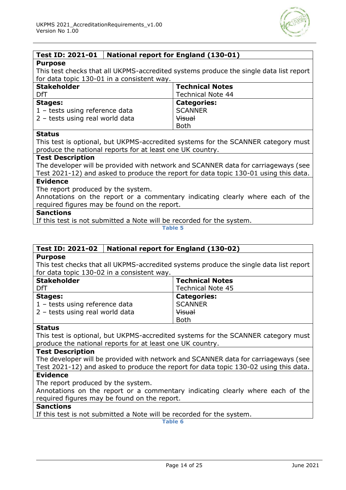

#### <span id="page-13-0"></span>**Test ID: 2021-01 National report for England (130-01)**

#### **Purpose**

This test checks that all UKPMS-accredited systems produce the single data list report for data topic 130-01 in a consistent way.

| <b>Stakeholder</b>              | <b>Technical Notes</b>   |
|---------------------------------|--------------------------|
| DfT                             | <b>Technical Note 44</b> |
| <b>Stages:</b>                  | <b>Categories:</b>       |
| 1 - tests using reference data  | <b>SCANNER</b>           |
| 2 - tests using real world data | <b>Visual</b>            |
|                                 | <b>Both</b>              |

#### **Status**

This test is optional, but UKPMS-accredited systems for the SCANNER category must produce the national reports for at least one UK country.

#### **Test Description**

The developer will be provided with network and SCANNER data for carriageways (see Test 2021-12) and asked to produce the report for data topic 130-01 using this data.

#### **Evidence**

The report produced by the system.

Annotations on the report or a commentary indicating clearly where each of the required figures may be found on the report.

#### **Sanctions**

If this test is not submitted a Note will be recorded for the system.

**Table 5**

#### <span id="page-13-1"></span>**Test ID: 2021-02 National report for England (130-02)**

#### **Purpose**

This test checks that all UKPMS-accredited systems produce the single data list report for data topic 130-02 in a consistent way.

| <b>Stakeholder</b>              | <b>Technical Notes</b>   |
|---------------------------------|--------------------------|
| DfT                             | <b>Technical Note 45</b> |
| <b>Stages:</b>                  | <b>Categories:</b>       |
| 1 - tests using reference data  | <b>SCANNER</b>           |
| 2 - tests using real world data | <b>Visual</b>            |
|                                 | <b>Both</b>              |

#### **Status**

This test is optional, but UKPMS-accredited systems for the SCANNER category must produce the national reports for at least one UK country.

#### **Test Description**

The developer will be provided with network and SCANNER data for carriageways (see Test 2021-12) and asked to produce the report for data topic 130-02 using this data.

#### **Evidence**

The report produced by the system.

Annotations on the report or a commentary indicating clearly where each of the required figures may be found on the report.

#### **Sanctions**

If this test is not submitted a Note will be recorded for the system.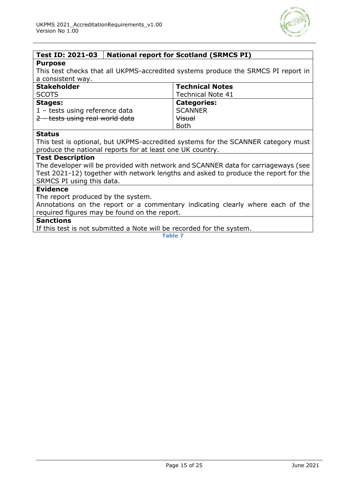

## <span id="page-14-0"></span>**Test ID: 2021-03 National report for Scotland (SRMCS PI)**

#### **Purpose**

This test checks that all UKPMS-accredited systems produce the SRMCS PI report in a consistent way.

| <b>Stakeholder</b>              | <b>Technical Notes</b>   |
|---------------------------------|--------------------------|
| <b>SCOTS</b>                    | <b>Technical Note 41</b> |
| <b>Stages:</b>                  | <b>Categories:</b>       |
| 1 - tests using reference data  | <b>SCANNER</b>           |
| 2 - tests using real world data | <b>Visual</b>            |
|                                 | <b>Both</b>              |

#### **Status**

This test is optional, but UKPMS-accredited systems for the SCANNER category must produce the national reports for at least one UK country.

#### **Test Description**

The developer will be provided with network and SCANNER data for carriageways (see Test 2021-12) together with network lengths and asked to produce the report for the SRMCS PI using this data.

#### **Evidence**

The report produced by the system.

Annotations on the report or a commentary indicating clearly where each of the required figures may be found on the report.

#### **Sanctions**

If this test is not submitted a Note will be recorded for the system.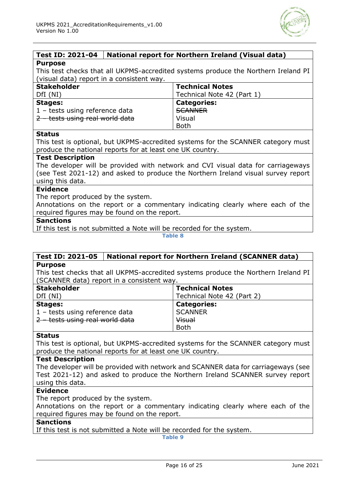

#### <span id="page-15-0"></span>**Test ID: 2021-04 National report for Northern Ireland (Visual data) Purpose**

This test checks that all UKPMS-accredited systems produce the Northern Ireland PI (visual data) report in a consistent way.

| <b>Stakeholder</b>              | <b>Technical Notes</b>     |
|---------------------------------|----------------------------|
| DfI(NI)                         | Technical Note 42 (Part 1) |
| <b>Stages:</b>                  | <b>Categories:</b>         |
| 1 - tests using reference data  | <b>SCANNER</b>             |
| 2 - tests using real world data | Visual                     |
|                                 | <b>Both</b>                |

#### **Status**

This test is optional, but UKPMS-accredited systems for the SCANNER category must produce the national reports for at least one UK country.

#### **Test Description**

The developer will be provided with network and CVI visual data for carriageways (see Test 2021-12) and asked to produce the Northern Ireland visual survey report using this data.

#### **Evidence**

The report produced by the system.

Annotations on the report or a commentary indicating clearly where each of the required figures may be found on the report.

#### **Sanctions**

If this test is not submitted a Note will be recorded for the system.

**Table 8**

#### <span id="page-15-1"></span>**Test ID: 2021-05 National report for Northern Ireland (SCANNER data) Purpose**

This test checks that all UKPMS-accredited systems produce the Northern Ireland PI (SCANNER data) report in a consistent way.

| <b>Stakeholder</b>              | <b>Technical Notes</b>     |
|---------------------------------|----------------------------|
| DfI (NI)                        | Technical Note 42 (Part 2) |
| Stages:                         | <b>Categories:</b>         |
| 1 - tests using reference data  | <b>SCANNER</b>             |
| 2 – tests using real world data | <b>Visual</b>              |
|                                 | <b>Both</b>                |

#### **Status**

This test is optional, but UKPMS-accredited systems for the SCANNER category must produce the national reports for at least one UK country.

#### **Test Description**

The developer will be provided with network and SCANNER data for carriageways (see Test 2021-12) and asked to produce the Northern Ireland SCANNER survey report using this data.

#### **Evidence**

The report produced by the system.

Annotations on the report or a commentary indicating clearly where each of the required figures may be found on the report.

#### **Sanctions**

If this test is not submitted a Note will be recorded for the system.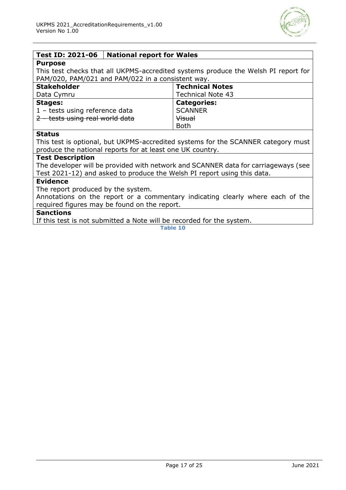

#### <span id="page-16-0"></span>**Test ID: 2021-06 National report for Wales**

#### **Purpose**

This test checks that all UKPMS-accredited systems produce the Welsh PI report for PAM/020, PAM/021 and PAM/022 in a consistent way.

| <b>Stakeholder</b>              | <b>Technical Notes</b>   |
|---------------------------------|--------------------------|
| Data Cymru                      | <b>Technical Note 43</b> |
| <b>Stages:</b>                  | <b>Categories:</b>       |
| 1 - tests using reference data  | <b>SCANNER</b>           |
| 2 - tests using real world data | <b>Visual</b>            |
|                                 | <b>Both</b>              |

#### **Status**

This test is optional, but UKPMS-accredited systems for the SCANNER category must produce the national reports for at least one UK country.

#### **Test Description**

The developer will be provided with network and SCANNER data for carriageways (see Test 2021-12) and asked to produce the Welsh PI report using this data.

#### **Evidence**

The report produced by the system.

Annotations on the report or a commentary indicating clearly where each of the required figures may be found on the report.

#### **Sanctions**

If this test is not submitted a Note will be recorded for the system.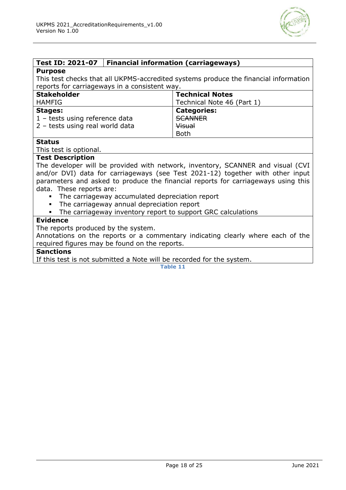

#### <span id="page-17-0"></span>**Test ID: 2021-07 Financial information (carriageways)**

#### **Purpose**

This test checks that all UKPMS-accredited systems produce the financial information reports for carriageways in a consistent way.

| <b>Stakeholder</b>                      | <b>Technical Notes</b>     |
|-----------------------------------------|----------------------------|
| HAMFIG                                  | Technical Note 46 (Part 1) |
| <b>Stages:</b>                          | <b>Categories:</b>         |
| $1 - \text{tests using reference data}$ | <b>SCANNER</b>             |
| 2 - tests using real world data         | Visual                     |
|                                         | <b>Both</b>                |

#### **Status**

This test is optional.

#### **Test Description**

The developer will be provided with network, inventory, SCANNER and visual (CVI and/or DVI) data for carriageways (see Test 2021-12) together with other input parameters and asked to produce the financial reports for carriageways using this data. These reports are:

- The carriageway accumulated depreciation report
- The carriageway annual depreciation report
- The carriageway inventory report to support GRC calculations

#### **Evidence**

The reports produced by the system.

Annotations on the reports or a commentary indicating clearly where each of the required figures may be found on the reports.

#### **Sanctions**

If this test is not submitted a Note will be recorded for the system.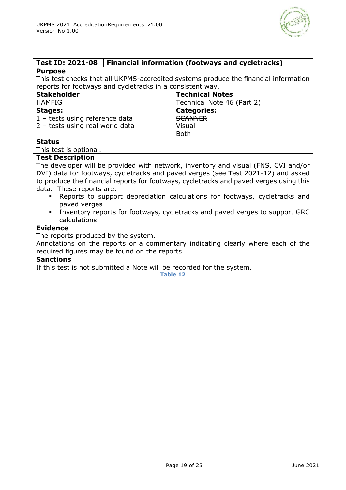

#### <span id="page-18-0"></span>**Test ID: 2021-08 Financial information (footways and cycletracks) Purpose**

This test checks that all UKPMS-accredited systems produce the financial information reports for footways and cycletracks in a consistent way.

| <b>Stakeholder</b>              | <b>Technical Notes</b>     |
|---------------------------------|----------------------------|
| <b>HAMFIG</b>                   | Technical Note 46 (Part 2) |
| Stages:                         | <b>Categories:</b>         |
| 1 - tests using reference data  | <b>SCANNER</b>             |
| 2 - tests using real world data | Visual                     |
|                                 | <b>Both</b>                |

#### **Status**

This test is optional.

#### **Test Description**

The developer will be provided with network, inventory and visual (FNS, CVI and/or DVI) data for footways, cycletracks and paved verges (see Test 2021-12) and asked to produce the financial reports for footways, cycletracks and paved verges using this data. These reports are:

- Reports to support depreciation calculations for footways, cycletracks and paved verges
- Inventory reports for footways, cycletracks and paved verges to support GRC calculations

#### **Evidence**

The reports produced by the system.

Annotations on the reports or a commentary indicating clearly where each of the required figures may be found on the reports.

#### **Sanctions**

If this test is not submitted a Note will be recorded for the system.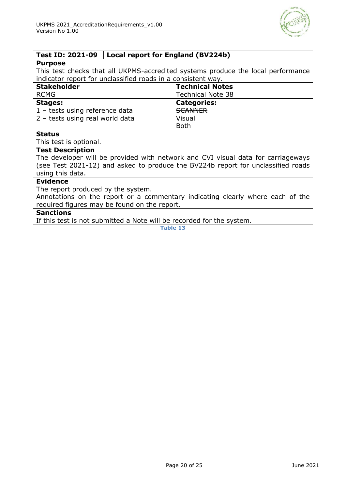

#### <span id="page-19-0"></span>**Test ID: 2021-09 Local report for England (BV224b)**

#### **Purpose**

This test checks that all UKPMS-accredited systems produce the local performance indicator report for unclassified roads in a consistent way.

| <b>Stakeholder</b>                | <b>Technical Notes</b>   |
|-----------------------------------|--------------------------|
| <b>RCMG</b>                       | <b>Technical Note 38</b> |
| <b>Stages:</b>                    | <b>Categories:</b>       |
| $1$ – tests using reference data  | <b>SCANNER</b>           |
| $2$ – tests using real world data | Visual                   |
|                                   | <b>Both</b>              |

#### **Status**

This test is optional.

#### **Test Description**

The developer will be provided with network and CVI visual data for carriageways (see Test 2021-12) and asked to produce the BV224b report for unclassified roads using this data.

#### **Evidence**

The report produced by the system.

Annotations on the report or a commentary indicating clearly where each of the required figures may be found on the report.

#### **Sanctions**

If this test is not submitted a Note will be recorded for the system.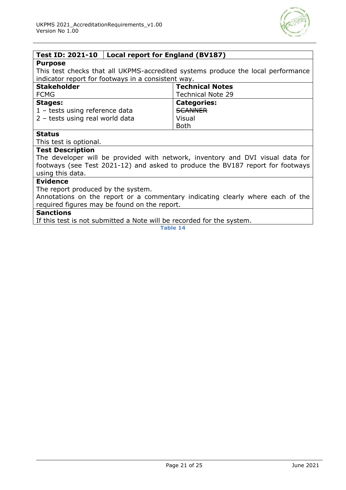

#### <span id="page-20-0"></span>**Test ID: 2021-10 Local report for England (BV187)**

#### **Purpose**

This test checks that all UKPMS-accredited systems produce the local performance indicator report for footways in a consistent way.

| <b>Stakeholder</b>              | <b>Technical Notes</b>   |
|---------------------------------|--------------------------|
| <b>FCMG</b>                     | <b>Technical Note 29</b> |
| <b>Stages:</b>                  | <b>Categories:</b>       |
| 1 - tests using reference data  | <b>SCANNER</b>           |
| 2 - tests using real world data | Visual                   |
|                                 | <b>Both</b>              |

#### **Status**

This test is optional.

#### **Test Description**

The developer will be provided with network, inventory and DVI visual data for footways (see Test 2021-12) and asked to produce the BV187 report for footways using this data.

#### **Evidence**

The report produced by the system.

Annotations on the report or a commentary indicating clearly where each of the required figures may be found on the report.

#### **Sanctions**

If this test is not submitted a Note will be recorded for the system.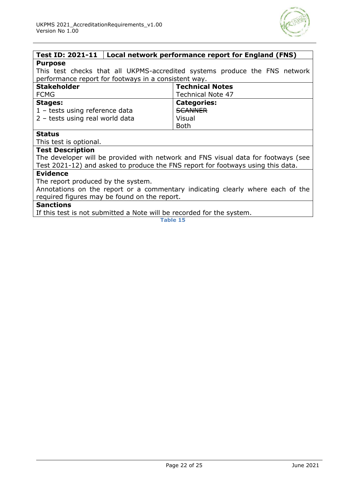

#### <span id="page-21-0"></span>**Test ID: 2021-11 Local network performance report for England (FNS) Purpose**

This test checks that all UKPMS-accredited systems produce the FNS network performance report for footways in a consistent way.

| <b>Stakeholder</b>              | <b>Technical Notes</b>   |
|---------------------------------|--------------------------|
| <b>FCMG</b>                     | <b>Technical Note 47</b> |
| <b>Stages:</b>                  | <b>Categories:</b>       |
| 1 - tests using reference data  | <b>SCANNER</b>           |
| 2 - tests using real world data | Visual                   |
|                                 | <b>Both</b>              |

#### **Status**

This test is optional.

#### **Test Description**

The developer will be provided with network and FNS visual data for footways (see Test 2021-12) and asked to produce the FNS report for footways using this data.

#### **Evidence**

The report produced by the system.

Annotations on the report or a commentary indicating clearly where each of the required figures may be found on the report.

#### **Sanctions**

If this test is not submitted a Note will be recorded for the system.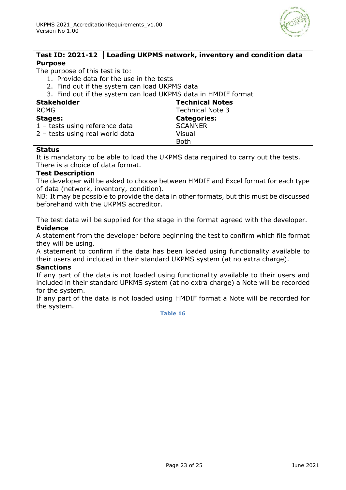

<span id="page-22-0"></span>

| Test ID: 2021-12 $\vert$ Loading UKPMS network, inventory and condition data           |                                                                                         |
|----------------------------------------------------------------------------------------|-----------------------------------------------------------------------------------------|
| <b>Purpose</b>                                                                         |                                                                                         |
| The purpose of this test is to:                                                        |                                                                                         |
| 1. Provide data for the use in the tests                                               |                                                                                         |
| 2. Find out if the system can load UKPMS data                                          |                                                                                         |
| 3. Find out if the system can load UKPMS data in HMDIF format                          |                                                                                         |
| <b>Stakeholder</b>                                                                     | <b>Technical Notes</b>                                                                  |
| <b>RCMG</b>                                                                            | <b>Technical Note 3</b>                                                                 |
| <b>Stages:</b>                                                                         | <b>Categories:</b>                                                                      |
| 1 - tests using reference data                                                         | <b>SCANNER</b>                                                                          |
| 2 - tests using real world data                                                        | Visual                                                                                  |
|                                                                                        | <b>Both</b>                                                                             |
| <b>Status</b>                                                                          |                                                                                         |
| It is mandatory to be able to load the UKPMS data required to carry out the tests.     |                                                                                         |
| There is a choice of data format.                                                      |                                                                                         |
| <b>Test Description</b>                                                                |                                                                                         |
|                                                                                        | The developer will be asked to choose between HMDIF and Excel format for each type      |
| of data (network, inventory, condition).                                               |                                                                                         |
|                                                                                        | NB: It may be possible to provide the data in other formats, but this must be discussed |
| beforehand with the UKPMS accreditor.                                                  |                                                                                         |
|                                                                                        |                                                                                         |
| The test data will be supplied for the stage in the format agreed with the developer.  |                                                                                         |
| <b>Evidence</b>                                                                        |                                                                                         |
| A statement from the developer before beginning the test to confirm which file format  |                                                                                         |
| they will be using.                                                                    |                                                                                         |
| A statement to confirm if the data has been loaded using functionality available to    |                                                                                         |
| their users and included in their standard UKPMS system (at no extra charge).          |                                                                                         |
| <b>Sanctions</b>                                                                       |                                                                                         |
| If any part of the data is not loaded using functionality available to their users and |                                                                                         |
| included in their standard UPKMS system (at no extra charge) a Note will be recorded   |                                                                                         |
| for the system.                                                                        |                                                                                         |
| If any part of the data is not loaded using HMDIF format a Note will be recorded for   |                                                                                         |

the system.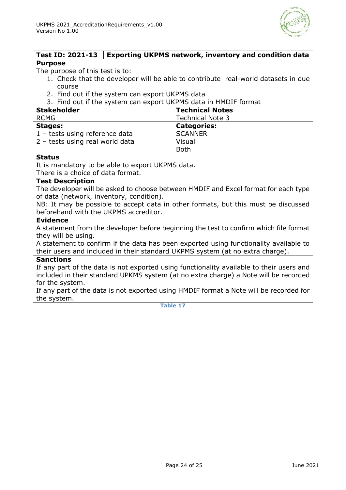

#### <span id="page-23-0"></span>**Test ID: 2021-13 Exporting UKPMS network, inventory and condition data Purpose**

The purpose of this test is to:

- 1. Check that the developer will be able to contribute real-world datasets in due course
- 2. Find out if the system can export UKPMS data

3. Find out if the system can export UKPMS data in HMDIF format

| <b>Stakeholder</b>              | <b>Technical Notes</b>  |
|---------------------------------|-------------------------|
| <b>RCMG</b>                     | <b>Technical Note 3</b> |
| <b>Stages:</b>                  | <b>Categories:</b>      |
| 1 - tests using reference data  | <b>SCANNER</b>          |
| 2 - tests using real world data | Visual                  |
|                                 | Both                    |

#### **Status**

It is mandatory to be able to export UKPMS data.

There is a choice of data format.

#### **Test Description**

The developer will be asked to choose between HMDIF and Excel format for each type of data (network, inventory, condition).

NB: It may be possible to accept data in other formats, but this must be discussed beforehand with the UKPMS accreditor.

#### **Evidence**

A statement from the developer before beginning the test to confirm which file format they will be using.

A statement to confirm if the data has been exported using functionality available to their users and included in their standard UKPMS system (at no extra charge).

#### **Sanctions**

If any part of the data is not exported using functionality available to their users and included in their standard UPKMS system (at no extra charge) a Note will be recorded for the system.

If any part of the data is not exported using HMDIF format a Note will be recorded for the system.